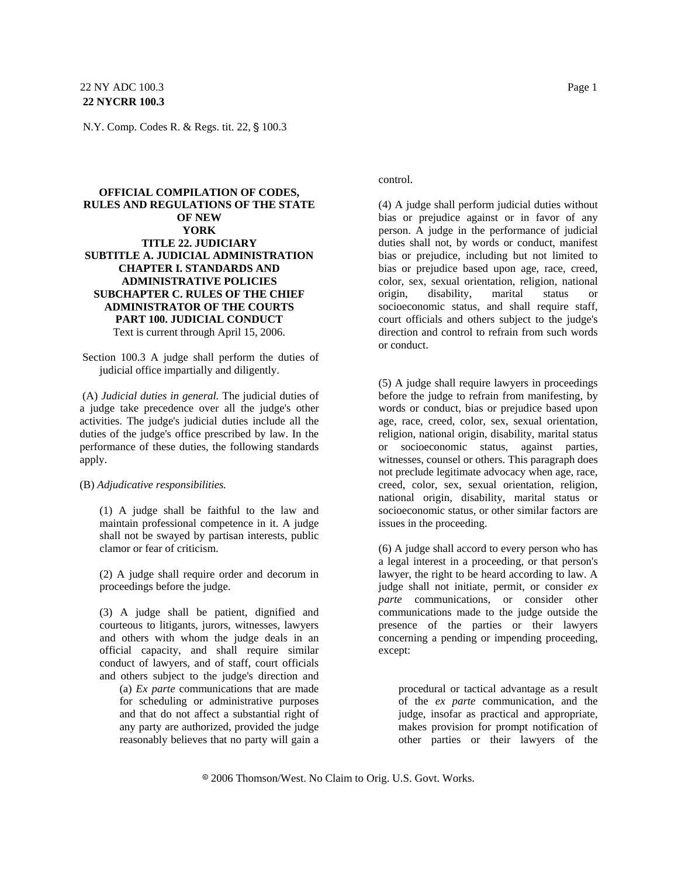# **OFFICIAL COMPILATION OF CODES, RULES AND REGULATIONS OF THE STATE OF NEW YORK TITLE 22. JUDICIARY SUBTITLE A. JUDICIAL ADMINISTRATION CHAPTER I. STANDARDS AND ADMINISTRATIVE POLICIES SUBCHAPTER C. RULES OF THE CHIEF ADMINISTRATOR OF THE COURTS PART 100. JUDICIAL CONDUCT**  Text is current through April 15, 2006.

 Section 100.3 A judge shall perform the duties of judicial office impartially and diligently.

 (A) *Judicial duties in general.* The judicial duties of a judge take precedence over all the judge's other activities. The judge's judicial duties include all the duties of the judge's office prescribed by law. In the performance of these duties, the following standards apply.

### (B) *Adjudicative responsibilities.*

(1) A judge shall be faithful to the law and maintain professional competence in it. A judge shall not be swayed by partisan interests, public clamor or fear of criticism.

(2) A judge shall require order and decorum in proceedings before the judge.

(3) A judge shall be patient, dignified and courteous to litigants, jurors, witnesses, lawyers and others with whom the judge deals in an official capacity, and shall require similar conduct of lawyers, and of staff, court officials and others subject to the judge's direction and

(a) *Ex parte* communications that are made for scheduling or administrative purposes and that do not affect a substantial right of any party are authorized, provided the judge reasonably believes that no party will gain a control.

(4) A judge shall perform judicial duties without bias or prejudice against or in favor of any person. A judge in the performance of judicial duties shall not, by words or conduct, manifest bias or prejudice, including but not limited to bias or prejudice based upon age, race, creed, color, sex, sexual orientation, religion, national origin, disability, marital status or socioeconomic status, and shall require staff, court officials and others subject to the judge's direction and control to refrain from such words or conduct.

(5) A judge shall require lawyers in proceedings before the judge to refrain from manifesting, by words or conduct, bias or prejudice based upon age, race, creed, color, sex, sexual orientation, religion, national origin, disability, marital status or socioeconomic status, against parties, witnesses, counsel or others. This paragraph does not preclude legitimate advocacy when age, race, creed, color, sex, sexual orientation, religion, national origin, disability, marital status or socioeconomic status, or other similar factors are issues in the proceeding.

(6) A judge shall accord to every person who has a legal interest in a proceeding, or that person's lawyer, the right to be heard according to law. A judge shall not initiate, permit, or consider *ex parte* communications, or consider other communications made to the judge outside the presence of the parties or their lawyers concerning a pending or impending proceeding, except:

procedural or tactical advantage as a result of the *ex parte* communication, and the judge, insofar as practical and appropriate, makes provision for prompt notification of other parties or their lawyers of the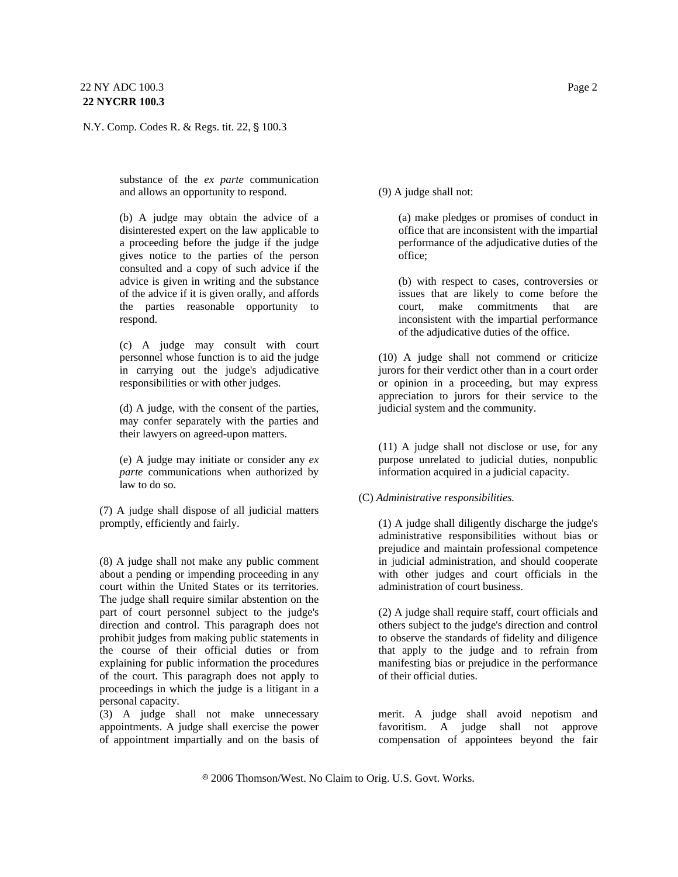substance of the *ex parte* communication and allows an opportunity to respond.

(b) A judge may obtain the advice of a disinterested expert on the law applicable to a proceeding before the judge if the judge gives notice to the parties of the person consulted and a copy of such advice if the advice is given in writing and the substance of the advice if it is given orally, and affords the parties reasonable opportunity to respond.

(c) A judge may consult with court personnel whose function is to aid the judge in carrying out the judge's adjudicative responsibilities or with other judges.

(d) A judge, with the consent of the parties, may confer separately with the parties and their lawyers on agreed-upon matters.

(e) A judge may initiate or consider any *ex parte* communications when authorized by law to do so.

(7) A judge shall dispose of all judicial matters promptly, efficiently and fairly.

(8) A judge shall not make any public comment about a pending or impending proceeding in any court within the United States or its territories. The judge shall require similar abstention on the part of court personnel subject to the judge's direction and control. This paragraph does not prohibit judges from making public statements in the course of their official duties or from explaining for public information the procedures of the court. This paragraph does not apply to proceedings in which the judge is a litigant in a personal capacity.

(3) A judge shall not make unnecessary appointments. A judge shall exercise the power of appointment impartially and on the basis of (9) A judge shall not:

(a) make pledges or promises of conduct in office that are inconsistent with the impartial performance of the adjudicative duties of the office;

(b) with respect to cases, controversies or issues that are likely to come before the court, make commitments that are inconsistent with the impartial performance of the adjudicative duties of the office.

(10) A judge shall not commend or criticize jurors for their verdict other than in a court order or opinion in a proceeding, but may express appreciation to jurors for their service to the judicial system and the community.

(11) A judge shall not disclose or use, for any purpose unrelated to judicial duties, nonpublic information acquired in a judicial capacity.

(C) *Administrative responsibilities.*

(1) A judge shall diligently discharge the judge's administrative responsibilities without bias or prejudice and maintain professional competence in judicial administration, and should cooperate with other judges and court officials in the administration of court business.

(2) A judge shall require staff, court officials and others subject to the judge's direction and control to observe the standards of fidelity and diligence that apply to the judge and to refrain from manifesting bias or prejudice in the performance of their official duties.

merit. A judge shall avoid nepotism and favoritism. A judge shall not approve compensation of appointees beyond the fair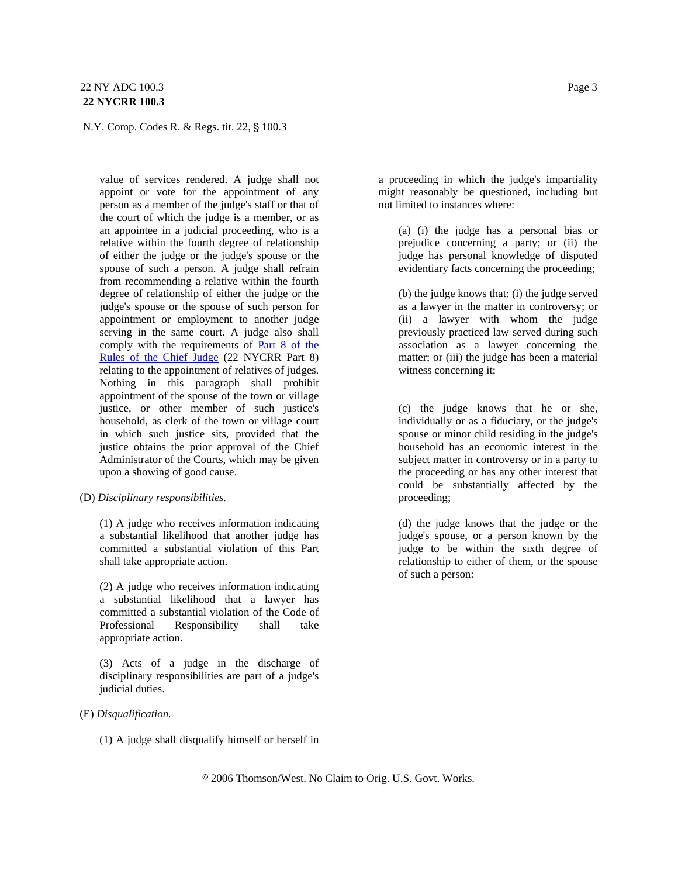value of services rendered. A judge shall not appoint or vote for the appointment of any person as a member of the judge's staff or that of the court of which the judge is a member, or as an appointee in a judicial proceeding, who is a relative within the fourth degree of relationship of either the judge or the judge's spouse or the spouse of such a person. A judge shall refrain from recommending a relative within the fourth degree of relationship of either the judge or the judge's spouse or the spouse of such person for appointment or employment to another judge serving in the same court. A judge also shall comply with the requirements of Part 8 of the Rules of the Chief Judge (22 NYCRR Part 8) relating to the appointment of relatives of judges. Nothing in this paragraph shall prohibit appointment of the spouse of the town or village justice, or other member of such justice's household, as clerk of the town or village court in which such justice sits, provided that the justice obtains the prior approval of the Chief Administrator of the Courts, which may be given upon a showing of good cause.

(D) *Disciplinary responsibilities.*

(1) A judge who receives information indicating a substantial likelihood that another judge has committed a substantial violation of this Part shall take appropriate action.

(2) A judge who receives information indicating a substantial likelihood that a lawyer has committed a substantial violation of the Code of Professional Responsibility shall take appropriate action.

(3) Acts of a judge in the discharge of disciplinary responsibilities are part of a judge's judicial duties.

### (E) *Disqualification.*

(1) A judge shall disqualify himself or herself in

a proceeding in which the judge's impartiality might reasonably be questioned, including but not limited to instances where:

(a) (i) the judge has a personal bias or prejudice concerning a party; or (ii) the judge has personal knowledge of disputed evidentiary facts concerning the proceeding;

(b) the judge knows that: (i) the judge served as a lawyer in the matter in controversy; or (ii) a lawyer with whom the judge previously practiced law served during such association as a lawyer concerning the matter; or (iii) the judge has been a material witness concerning it;

(c) the judge knows that he or she, individually or as a fiduciary, or the judge's spouse or minor child residing in the judge's household has an economic interest in the subject matter in controversy or in a party to the proceeding or has any other interest that could be substantially affected by the proceeding;

(d) the judge knows that the judge or the judge's spouse, or a person known by the judge to be within the sixth degree of relationship to either of them, or the spouse of such a person: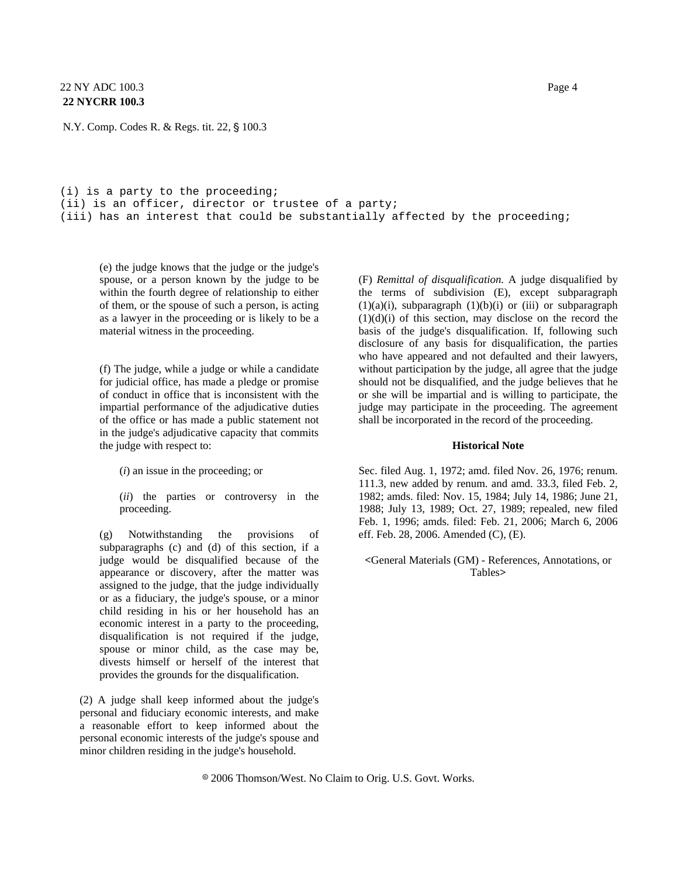(i) is a party to the proceeding; (ii) is an officer, director or trustee of a party; (iii) has an interest that could be substantially affected by the proceeding;

(e) the judge knows that the judge or the judge's spouse, or a person known by the judge to be within the fourth degree of relationship to either of them, or the spouse of such a person, is acting as a lawyer in the proceeding or is likely to be a material witness in the proceeding.

(f) The judge, while a judge or while a candidate for judicial office, has made a pledge or promise of conduct in office that is inconsistent with the impartial performance of the adjudicative duties of the office or has made a public statement not in the judge's adjudicative capacity that commits the judge with respect to:

(*i*) an issue in the proceeding; or

(*ii*) the parties or controversy in the proceeding.

(g) Notwithstanding the provisions of subparagraphs (c) and (d) of this section, if a judge would be disqualified because of the appearance or discovery, after the matter was assigned to the judge, that the judge individually or as a fiduciary, the judge's spouse, or a minor child residing in his or her household has an economic interest in a party to the proceeding, disqualification is not required if the judge, spouse or minor child, as the case may be, divests himself or herself of the interest that provides the grounds for the disqualification.

(2) A judge shall keep informed about the judge's personal and fiduciary economic interests, and make a reasonable effort to keep informed about the personal economic interests of the judge's spouse and minor children residing in the judge's household.

(F) *Remittal of disqualification.* A judge disqualified by the terms of subdivision (E), except subparagraph  $(1)(a)(i)$ , subparagraph  $(1)(b)(i)$  or  $(iii)$  or subparagraph  $(1)(d)(i)$  of this section, may disclose on the record the basis of the judge's disqualification. If, following such disclosure of any basis for disqualification, the parties who have appeared and not defaulted and their lawyers, without participation by the judge, all agree that the judge should not be disqualified, and the judge believes that he or she will be impartial and is willing to participate, the judge may participate in the proceeding. The agreement shall be incorporated in the record of the proceeding.

## **Historical Note**

Sec. filed Aug. 1, 1972; amd. filed Nov. 26, 1976; renum. 111.3, new added by renum. and amd. 33.3, filed Feb. 2, 1982; amds. filed: Nov. 15, 1984; July 14, 1986; June 21, 1988; July 13, 1989; Oct. 27, 1989; repealed, new filed Feb. 1, 1996; amds. filed: Feb. 21, 2006; March 6, 2006 eff. Feb. 28, 2006. Amended (C), (E).

**<**General Materials (GM) - References, Annotations, or Tables**>**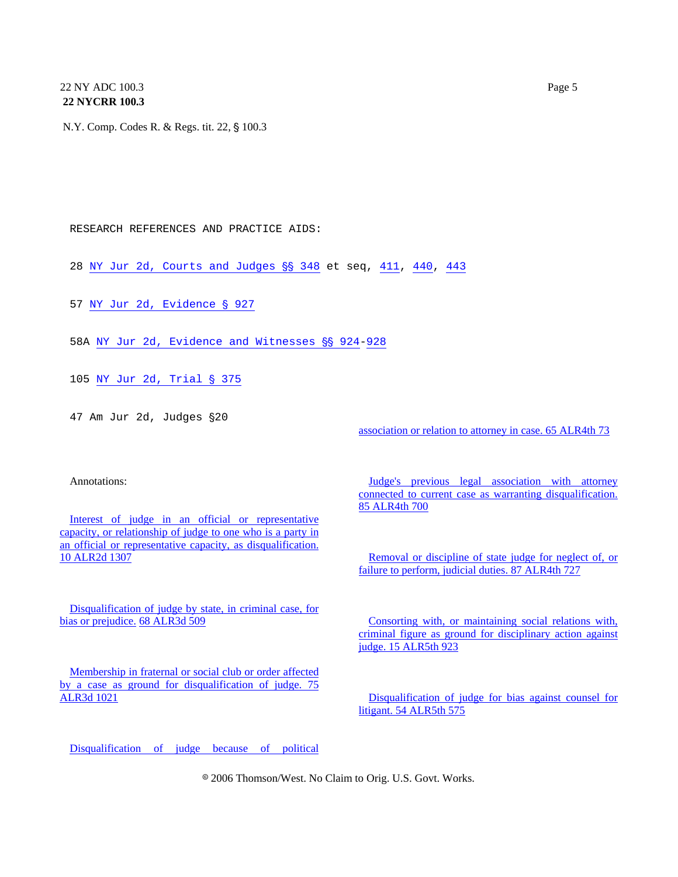RESEARCH REFERENCES AND PRACTICE AIDS:

28 NY Jur 2d, Courts and Judges SS 348 et seq, 411, 440, 443

57 NY Jur 2d, Evidence § 927

58A NY Jur 2d, Evidence and Witnesses SS 924-928

- 105 NY Jur 2d, Trial § 375
- 47 Am Jur 2d, Judges §20

association or relation to attorney in case. 65 ALR4th 73

Annotations:

Interest of judge in an official or representative capacity, or relationship of judge to one who is a party in an official or representative capacity, as disqualification. 10 ALR2d 1307

Disqualification of judge by state, in criminal case, for bias or prejudice. 68 ALR3d 509

Membership in fraternal or social club or order affected by a case as ground for disqualification of judge. 75 ALR3d 1021

Judge's previous legal association with attorney connected to current case as warranting disqualification. 85 ALR4th 700

Removal or discipline of state judge for neglect of, or failure to perform, judicial duties. 87 ALR4th 727

Consorting with, or maintaining social relations with, criminal figure as ground for disciplinary action against judge. 15 ALR5th 923

Disqualification of judge for bias against counsel for litigant. 54 ALR5th 575

Disqualification of judge because of political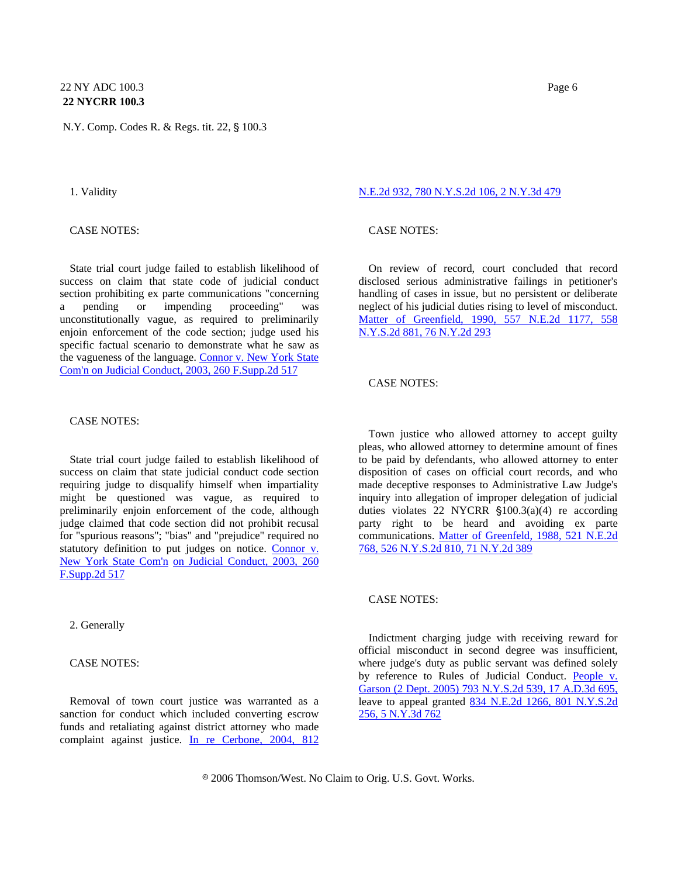#### 1. Validity

#### CASE NOTES:

State trial court judge failed to establish likelihood of success on claim that state code of judicial conduct section prohibiting ex parte communications "concerning a pending or impending proceeding" was unconstitutionally vague, as required to preliminarily enjoin enforcement of the code section; judge used his specific factual scenario to demonstrate what he saw as the vagueness of the language. Connor v. New York State Com'n on Judicial Conduct, 2003, 260 F.Supp.2d 517

## CASE NOTES:

State trial court judge failed to establish likelihood of success on claim that state judicial conduct code section requiring judge to disqualify himself when impartiality might be questioned was vague, as required to preliminarily enjoin enforcement of the code, although judge claimed that code section did not prohibit recusal for "spurious reasons"; "bias" and "prejudice" required no statutory definition to put judges on notice. Connor v. New York State Com'n on Judicial Conduct, 2003, 260 F.Supp.2d 517

2. Generally

CASE NOTES:

Removal of town court justice was warranted as a sanction for conduct which included converting escrow funds and retaliating against district attorney who made complaint against justice. In re Cerbone, 2004, 812

# N.E.2d 932, 780 N.Y.S.2d 106, 2 N.Y.3d 479

#### CASE NOTES:

On review of record, court concluded that record disclosed serious administrative failings in petitioner's handling of cases in issue, but no persistent or deliberate neglect of his judicial duties rising to level of misconduct. Matter of Greenfield, 1990, 557 N.E.2d 1177, 558 N.Y.S.2d 881, 76 N.Y.2d 293

## CASE NOTES:

Town justice who allowed attorney to accept guilty pleas, who allowed attorney to determine amount of fines to be paid by defendants, who allowed attorney to enter disposition of cases on official court records, and who made deceptive responses to Administrative Law Judge's inquiry into allegation of improper delegation of judicial duties violates 22 NYCRR  $$100.3(a)(4)$  re according party right to be heard and avoiding ex parte communications. Matter of Greenfeld, 1988, 521 N.E.2d 768, 526 N.Y.S.2d 810, 71 N.Y.2d 389

#### CASE NOTES:

Indictment charging judge with receiving reward for official misconduct in second degree was insufficient, where judge's duty as public servant was defined solely by reference to Rules of Judicial Conduct. People v. Garson (2 Dept. 2005) 793 N.Y.S.2d 539, 17 A.D.3d 695, leave to appeal granted 834 N.E.2d 1266, 801 N.Y.S.2d 256, 5 N.Y.3d 762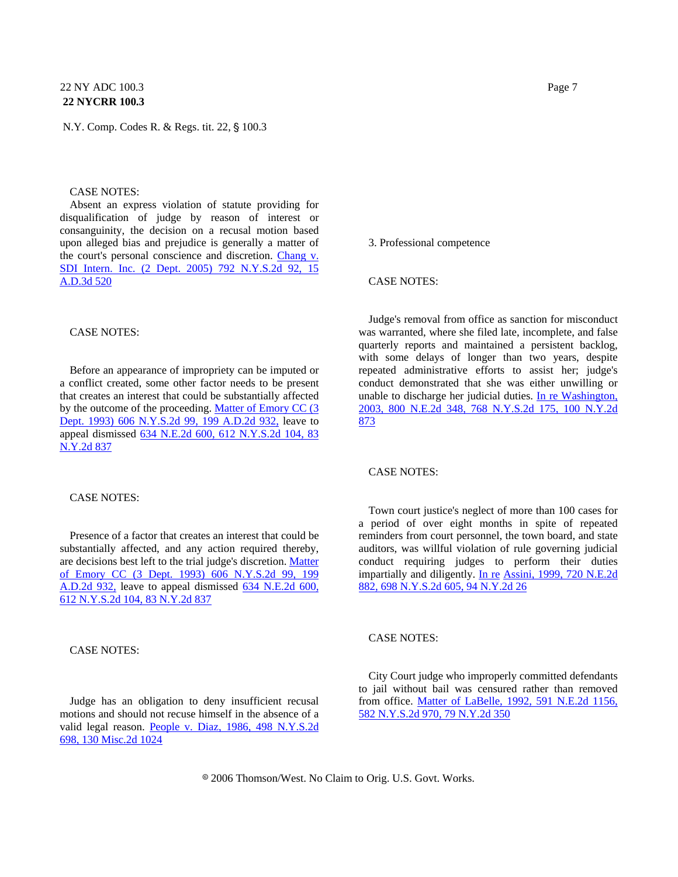#### CASE NOTES:

Absent an express violation of statute providing for disqualification of judge by reason of interest or consanguinity, the decision on a recusal motion based upon alleged bias and prejudice is generally a matter of the court's personal conscience and discretion. Chang v. SDI Intern. Inc. (2 Dept. 2005) 792 N.Y.S.2d 92, 15 A.D.3d 520

CASE NOTES:

Before an appearance of impropriety can be imputed or a conflict created, some other factor needs to be present that creates an interest that could be substantially affected by the outcome of the proceeding. Matter of Emory CC (3 Dept. 1993) 606 N.Y.S.2d 99, 199 A.D.2d 932, leave to appeal dismissed 634 N.E.2d 600, 612 N.Y.S.2d 104, 83 N.Y.2d 837

### CASE NOTES:

Presence of a factor that creates an interest that could be substantially affected, and any action required thereby, are decisions best left to the trial judge's discretion. Matter of Emory CC (3 Dept. 1993) 606 N.Y.S.2d 99, 199 A.D.2d 932, leave to appeal dismissed 634 N.E.2d 600, 612 N.Y.S.2d 104, 83 N.Y.2d 837

### CASE NOTES:

Judge has an obligation to deny insufficient recusal motions and should not recuse himself in the absence of a valid legal reason. People v. Diaz, 1986, 498 N.Y.S.2d 698, 130 Misc.2d 1024

3. Professional competence

## CASE NOTES:

Judge's removal from office as sanction for misconduct was warranted, where she filed late, incomplete, and false quarterly reports and maintained a persistent backlog, with some delays of longer than two years, despite repeated administrative efforts to assist her; judge's conduct demonstrated that she was either unwilling or unable to discharge her judicial duties. In re Washington, 2003, 800 N.E.2d 348, 768 N.Y.S.2d 175, 100 N.Y.2d 873

### CASE NOTES:

Town court justice's neglect of more than 100 cases for a period of over eight months in spite of repeated reminders from court personnel, the town board, and state auditors, was willful violation of rule governing judicial conduct requiring judges to perform their duties impartially and diligently. In re Assini, 1999, 720 N.E.2d 882, 698 N.Y.S.2d 605, 94 N.Y.2d 26

### CASE NOTES:

City Court judge who improperly committed defendants to jail without bail was censured rather than removed from office. Matter of LaBelle, 1992, 591 N.E.2d 1156, 582 N.Y.S.2d 970, 79 N.Y.2d 350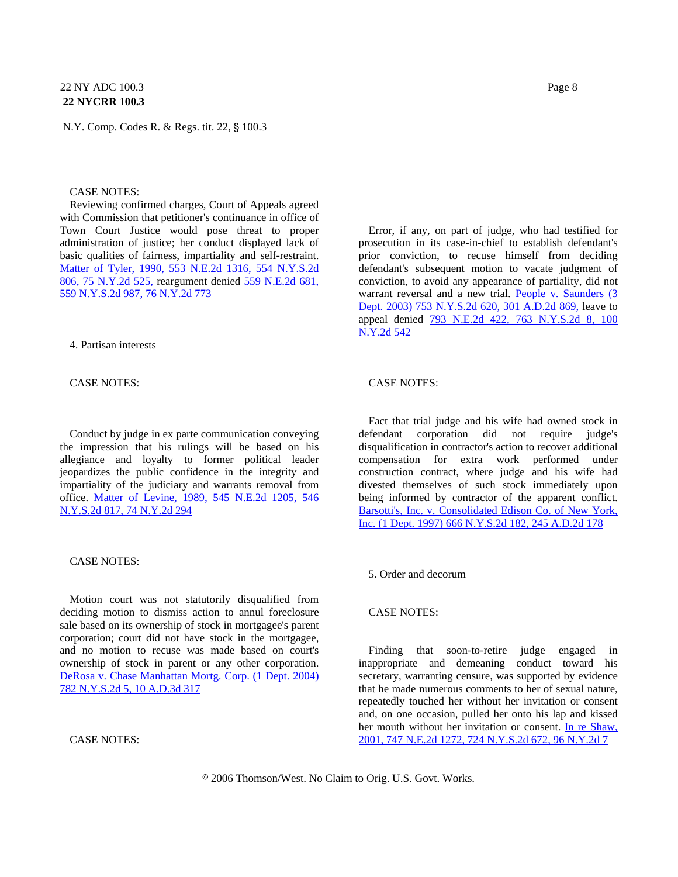#### CASE NOTES:

Reviewing confirmed charges, Court of Appeals agreed with Commission that petitioner's continuance in office of Town Court Justice would pose threat to proper administration of justice; her conduct displayed lack of basic qualities of fairness, impartiality and self-restraint. Matter of Tyler, 1990, 553 N.E.2d 1316, 554 N.Y.S.2d 806, 75 N.Y.2d 525, reargument denied 559 N.E.2d 681, 559 N.Y.S.2d 987, 76 N.Y.2d 773

4. Partisan interests

CASE NOTES:

Conduct by judge in ex parte communication conveying the impression that his rulings will be based on his allegiance and loyalty to former political leader jeopardizes the public confidence in the integrity and impartiality of the judiciary and warrants removal from office. Matter of Levine, 1989, 545 N.E.2d 1205, 546 N.Y.S.2d 817, 74 N.Y.2d 294

### CASE NOTES:

Motion court was not statutorily disqualified from deciding motion to dismiss action to annul foreclosure sale based on its ownership of stock in mortgagee's parent corporation; court did not have stock in the mortgagee, and no motion to recuse was made based on court's ownership of stock in parent or any other corporation. DeRosa v. Chase Manhattan Mortg. Corp. (1 Dept. 2004) 782 N.Y.S.2d 5, 10 A.D.3d 317

CASE NOTES:

Error, if any, on part of judge, who had testified for prosecution in its case-in-chief to establish defendant's prior conviction, to recuse himself from deciding defendant's subsequent motion to vacate judgment of conviction, to avoid any appearance of partiality, did not warrant reversal and a new trial. People v. Saunders (3) Dept. 2003) 753 N.Y.S.2d 620, 301 A.D.2d 869, leave to appeal denied 793 N.E.2d 422, 763 N.Y.S.2d 8, 100 N.Y.2d 542

# CASE NOTES:

Fact that trial judge and his wife had owned stock in defendant corporation did not require judge's disqualification in contractor's action to recover additional compensation for extra work performed under construction contract, where judge and his wife had divested themselves of such stock immediately upon being informed by contractor of the apparent conflict. Barsotti's, Inc. v. Consolidated Edison Co. of New York, Inc. (1 Dept. 1997) 666 N.Y.S.2d 182, 245 A.D.2d 178

## 5. Order and decorum

### CASE NOTES:

Finding that soon-to-retire judge engaged in inappropriate and demeaning conduct toward his secretary, warranting censure, was supported by evidence that he made numerous comments to her of sexual nature, repeatedly touched her without her invitation or consent and, on one occasion, pulled her onto his lap and kissed her mouth without her invitation or consent. In re Shaw, 2001, 747 N.E.2d 1272, 724 N.Y.S.2d 672, 96 N.Y.2d 7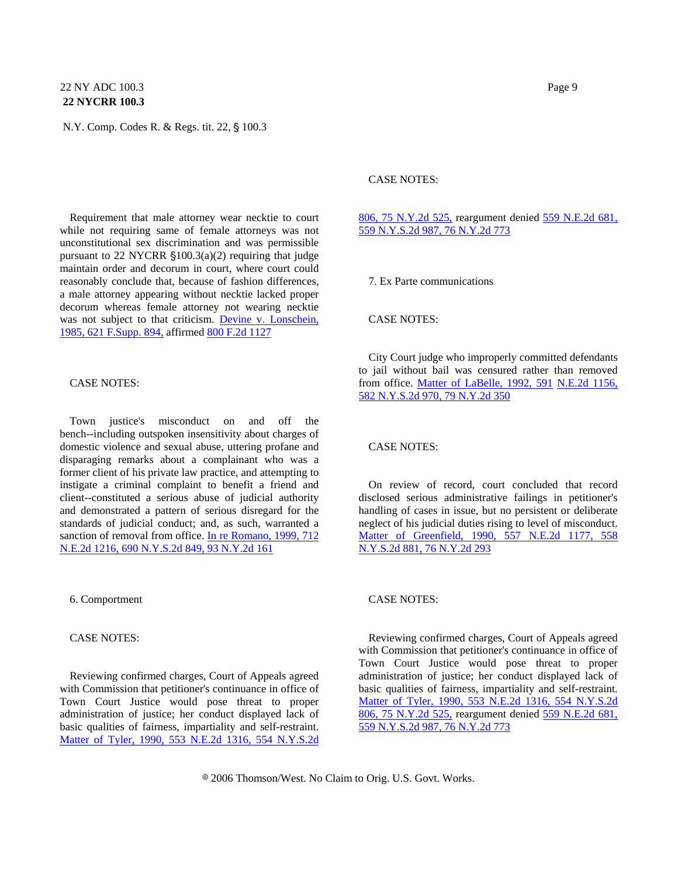Requirement that male attorney wear necktie to court while not requiring same of female attorneys was not unconstitutional sex discrimination and was permissible pursuant to 22 NYCRR  $$100.3(a)(2)$  requiring that judge maintain order and decorum in court, where court could reasonably conclude that, because of fashion differences, a male attorney appearing without necktie lacked proper decorum whereas female attorney not wearing necktie was not subject to that criticism. Devine v. Lonschein, 1985, 621 F.Supp. 894, affirmed 800 F.2d 1127

## CASE NOTES:

Town justice's misconduct on and off the bench--including outspoken insensitivity about charges of domestic violence and sexual abuse, uttering profane and disparaging remarks about a complainant who was a former client of his private law practice, and attempting to instigate a criminal complaint to benefit a friend and client--constituted a serious abuse of judicial authority and demonstrated a pattern of serious disregard for the standards of judicial conduct; and, as such, warranted a sanction of removal from office. In re Romano, 1999, 712 N.E.2d 1216, 690 N.Y.S.2d 849, 93 N.Y.2d 161

6. Comportment

### CASE NOTES:

Reviewing confirmed charges, Court of Appeals agreed with Commission that petitioner's continuance in office of Town Court Justice would pose threat to proper administration of justice; her conduct displayed lack of basic qualities of fairness, impartiality and self-restraint. Matter of Tyler, 1990, 553 N.E.2d 1316, 554 N.Y.S.2d CASE NOTES:

806, 75 N.Y.2d 525, reargument denied 559 N.E.2d 681, 559 N.Y.S.2d 987, 76 N.Y.2d 773

7. Ex Parte communications

CASE NOTES:

City Court judge who improperly committed defendants to jail without bail was censured rather than removed from office. Matter of LaBelle, 1992, 591 N.E.2d 1156, 582 N.Y.S.2d 970, 79 N.Y.2d 350

### CASE NOTES:

On review of record, court concluded that record disclosed serious administrative failings in petitioner's handling of cases in issue, but no persistent or deliberate neglect of his judicial duties rising to level of misconduct. Matter of Greenfield, 1990, 557 N.E.2d 1177, 558 N.Y.S.2d 881, 76 N.Y.2d 293

#### CASE NOTES:

Reviewing confirmed charges, Court of Appeals agreed with Commission that petitioner's continuance in office of Town Court Justice would pose threat to proper administration of justice; her conduct displayed lack of basic qualities of fairness, impartiality and self-restraint. Matter of Tyler, 1990, 553 N.E.2d 1316, 554 N.Y.S.2d 806, 75 N.Y.2d 525, reargument denied 559 N.E.2d 681, 559 N.Y.S.2d 987, 76 N.Y.2d 773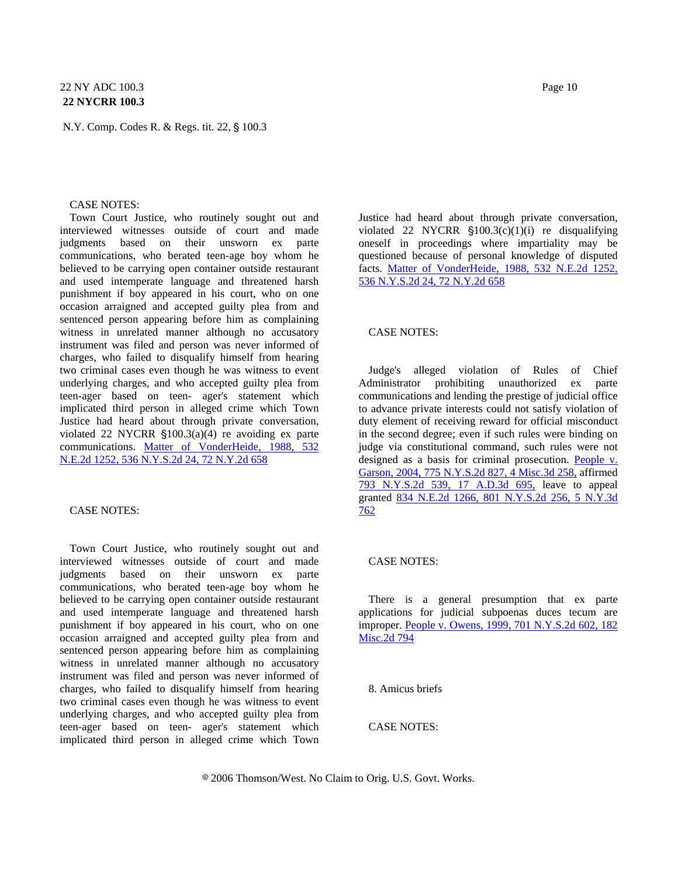#### CASE NOTES:

Town Court Justice, who routinely sought out and interviewed witnesses outside of court and made judgments based on their unsworn ex parte communications, who berated teen-age boy whom he believed to be carrying open container outside restaurant and used intemperate language and threatened harsh punishment if boy appeared in his court, who on one occasion arraigned and accepted guilty plea from and sentenced person appearing before him as complaining witness in unrelated manner although no accusatory instrument was filed and person was never informed of charges, who failed to disqualify himself from hearing two criminal cases even though he was witness to event underlying charges, and who accepted guilty plea from teen-ager based on teen- ager's statement which implicated third person in alleged crime which Town Justice had heard about through private conversation, violated 22 NYCRR  $$100.3(a)(4)$  re avoiding ex parte communications. Matter of VonderHeide, 1988, 532 N.E.2d 1252, 536 N.Y.S.2d 24, 72 N.Y.2d 658

## CASE NOTES:

Town Court Justice, who routinely sought out and interviewed witnesses outside of court and made judgments based on their unsworn ex parte communications, who berated teen-age boy whom he believed to be carrying open container outside restaurant and used intemperate language and threatened harsh punishment if boy appeared in his court, who on one occasion arraigned and accepted guilty plea from and sentenced person appearing before him as complaining witness in unrelated manner although no accusatory instrument was filed and person was never informed of charges, who failed to disqualify himself from hearing two criminal cases even though he was witness to event underlying charges, and who accepted guilty plea from teen-ager based on teen- ager's statement which implicated third person in alleged crime which Town

Justice had heard about through private conversation, violated 22 NYCRR  $\S 100.3(c)(1)(i)$  re disqualifying oneself in proceedings where impartiality may be questioned because of personal knowledge of disputed facts. Matter of VonderHeide, 1988, 532 N.E.2d 1252, 536 N.Y.S.2d 24, 72 N.Y.2d 658

## CASE NOTES:

Judge's alleged violation of Rules of Chief Administrator prohibiting unauthorized ex parte communications and lending the prestige of judicial office to advance private interests could not satisfy violation of duty element of receiving reward for official misconduct in the second degree; even if such rules were binding on judge via constitutional command, such rules were not designed as a basis for criminal prosecution. People v. Garson, 2004, 775 N.Y.S.2d 827, 4 Misc.3d 258, affirmed 793 N.Y.S.2d 539, 17 A.D.3d 695, leave to appeal granted 834 N.E.2d 1266, 801 N.Y.S.2d 256, 5 N.Y.3d 762

### CASE NOTES:

There is a general presumption that ex parte applications for judicial subpoenas duces tecum are improper. People v. Owens, 1999, 701 N.Y.S.2d 602, 182 Misc.2d 794

8. Amicus briefs

CASE NOTES: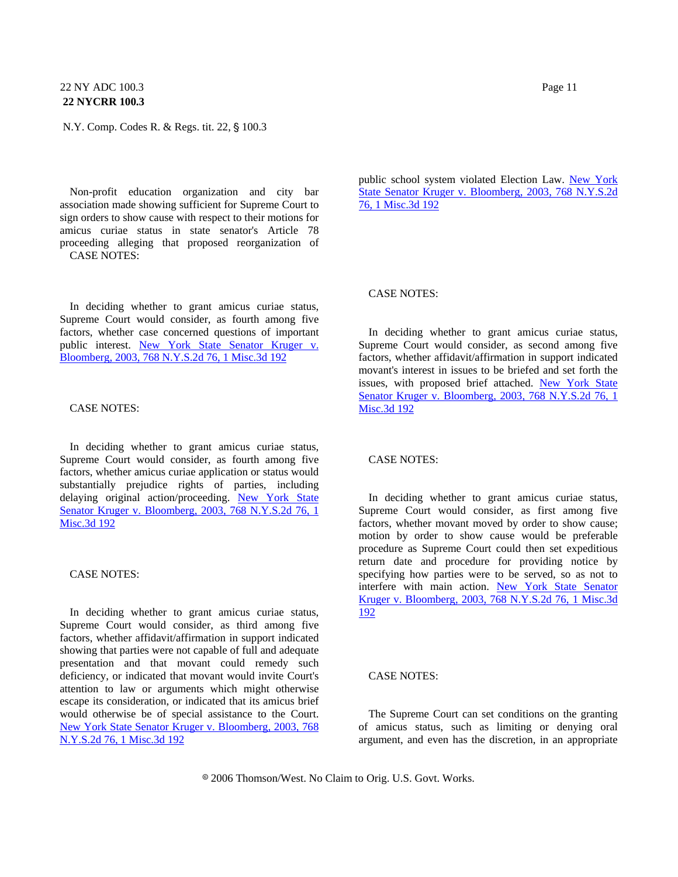Non-profit education organization and city bar association made showing sufficient for Supreme Court to sign orders to show cause with respect to their motions for amicus curiae status in state senator's Article 78 proceeding alleging that proposed reorganization of CASE NOTES:

In deciding whether to grant amicus curiae status, Supreme Court would consider, as fourth among five factors, whether case concerned questions of important public interest. New York State Senator Kruger v. Bloomberg, 2003, 768 N.Y.S.2d 76, 1 Misc.3d 192

## CASE NOTES:

In deciding whether to grant amicus curiae status, Supreme Court would consider, as fourth among five factors, whether amicus curiae application or status would substantially prejudice rights of parties, including delaying original action/proceeding. New York State Senator Kruger v. Bloomberg, 2003, 768 N.Y.S.2d 76, 1 Misc.3d 192

### CASE NOTES:

In deciding whether to grant amicus curiae status, Supreme Court would consider, as third among five factors, whether affidavit/affirmation in support indicated showing that parties were not capable of full and adequate presentation and that movant could remedy such deficiency, or indicated that movant would invite Court's attention to law or arguments which might otherwise escape its consideration, or indicated that its amicus brief would otherwise be of special assistance to the Court. New York State Senator Kruger v. Bloomberg, 2003, 768 N.Y.S.2d 76, 1 Misc.3d 192

public school system violated Election Law. New York State Senator Kruger v. Bloomberg, 2003, 768 N.Y.S.2d 76, 1 Misc.3d 192

### CASE NOTES:

In deciding whether to grant amicus curiae status, Supreme Court would consider, as second among five factors, whether affidavit/affirmation in support indicated movant's interest in issues to be briefed and set forth the issues, with proposed brief attached. New York State Senator Kruger v. Bloomberg, 2003, 768 N.Y.S.2d 76, 1 Misc.3d 192

### CASE NOTES:

In deciding whether to grant amicus curiae status, Supreme Court would consider, as first among five factors, whether movant moved by order to show cause; motion by order to show cause would be preferable procedure as Supreme Court could then set expeditious return date and procedure for providing notice by specifying how parties were to be served, so as not to interfere with main action. New York State Senator Kruger v. Bloomberg, 2003, 768 N.Y.S.2d 76, 1 Misc.3d 192

## CASE NOTES:

The Supreme Court can set conditions on the granting of amicus status, such as limiting or denying oral argument, and even has the discretion, in an appropriate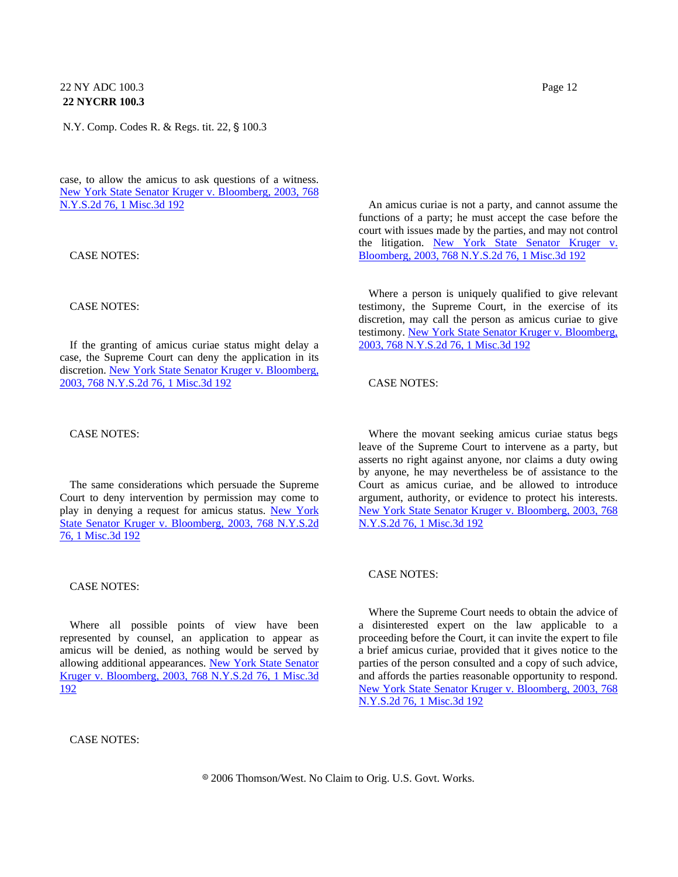# 22 NY ADC 100.3 Page 12 **22 NYCRR 100.3**

N.Y. Comp. Codes R. & Regs. tit. 22, § 100.3

case, to allow the amicus to ask questions of a witness. New York State Senator Kruger v. Bloomberg, 2003, 768 N.Y.S.2d 76, 1 Misc.3d 192

## CASE NOTES:

### CASE NOTES:

If the granting of amicus curiae status might delay a case, the Supreme Court can deny the application in its discretion. New York State Senator Kruger v. Bloomberg, 2003, 768 N.Y.S.2d 76, 1 Misc.3d 192

## CASE NOTES:

The same considerations which persuade the Supreme Court to deny intervention by permission may come to play in denying a request for amicus status. New York State Senator Kruger v. Bloomberg, 2003, 768 N.Y.S.2d 76, 1 Misc.3d 192

#### CASE NOTES:

Where all possible points of view have been represented by counsel, an application to appear as amicus will be denied, as nothing would be served by allowing additional appearances. New York State Senator Kruger v. Bloomberg, 2003, 768 N.Y.S.2d 76, 1 Misc.3d 192

CASE NOTES:

An amicus curiae is not a party, and cannot assume the

functions of a party; he must accept the case before the court with issues made by the parties, and may not control the litigation. New York State Senator Kruger v. Bloomberg, 2003, 768 N.Y.S.2d 76, 1 Misc.3d 192

Where a person is uniquely qualified to give relevant testimony, the Supreme Court, in the exercise of its discretion, may call the person as amicus curiae to give testimony. New York State Senator Kruger v. Bloomberg, 2003, 768 N.Y.S.2d 76, 1 Misc.3d 192

CASE NOTES:

Where the movant seeking amicus curiae status begs leave of the Supreme Court to intervene as a party, but asserts no right against anyone, nor claims a duty owing by anyone, he may nevertheless be of assistance to the Court as amicus curiae, and be allowed to introduce argument, authority, or evidence to protect his interests. New York State Senator Kruger v. Bloomberg, 2003, 768 N.Y.S.2d 76, 1 Misc.3d 192

#### CASE NOTES:

Where the Supreme Court needs to obtain the advice of a disinterested expert on the law applicable to a proceeding before the Court, it can invite the expert to file a brief amicus curiae, provided that it gives notice to the parties of the person consulted and a copy of such advice, and affords the parties reasonable opportunity to respond. New York State Senator Kruger v. Bloomberg, 2003, 768 N.Y.S.2d 76, 1 Misc.3d 192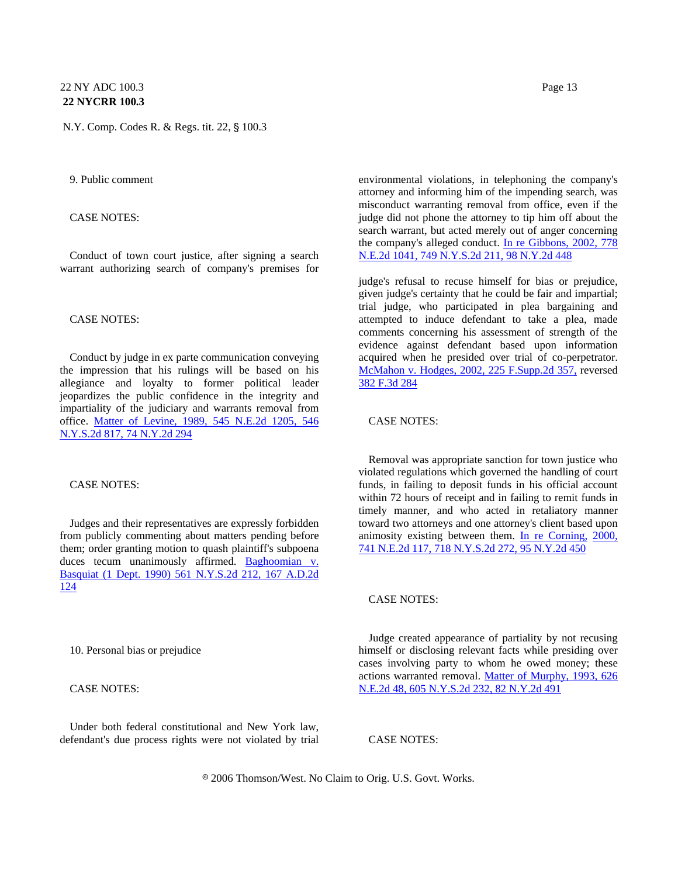9. Public comment

CASE NOTES:

Conduct of town court justice, after signing a search warrant authorizing search of company's premises for

### CASE NOTES:

Conduct by judge in ex parte communication conveying the impression that his rulings will be based on his allegiance and loyalty to former political leader jeopardizes the public confidence in the integrity and impartiality of the judiciary and warrants removal from office. Matter of Levine, 1989, 545 N.E.2d 1205, 546 N.Y.S.2d 817, 74 N.Y.2d 294

#### CASE NOTES:

Judges and their representatives are expressly forbidden from publicly commenting about matters pending before them; order granting motion to quash plaintiff's subpoena duces tecum unanimously affirmed. Baghoomian v. Basquiat (1 Dept. 1990) 561 N.Y.S.2d 212, 167 A.D.2d 124

10. Personal bias or prejudice

CASE NOTES:

Under both federal constitutional and New York law, defendant's due process rights were not violated by trial

environmental violations, in telephoning the company's attorney and informing him of the impending search, was misconduct warranting removal from office, even if the judge did not phone the attorney to tip him off about the search warrant, but acted merely out of anger concerning the company's alleged conduct. In re Gibbons, 2002, 778 N.E.2d 1041, 749 N.Y.S.2d 211, 98 N.Y.2d 448

judge's refusal to recuse himself for bias or prejudice, given judge's certainty that he could be fair and impartial; trial judge, who participated in plea bargaining and attempted to induce defendant to take a plea, made comments concerning his assessment of strength of the evidence against defendant based upon information acquired when he presided over trial of co-perpetrator. McMahon v. Hodges, 2002, 225 F.Supp.2d 357, reversed 382 F.3d 284

## CASE NOTES:

Removal was appropriate sanction for town justice who violated regulations which governed the handling of court funds, in failing to deposit funds in his official account within 72 hours of receipt and in failing to remit funds in timely manner, and who acted in retaliatory manner toward two attorneys and one attorney's client based upon animosity existing between them. In re Corning, 2000, 741 N.E.2d 117, 718 N.Y.S.2d 272, 95 N.Y.2d 450

#### CASE NOTES:

Judge created appearance of partiality by not recusing himself or disclosing relevant facts while presiding over cases involving party to whom he owed money; these actions warranted removal. Matter of Murphy, 1993, 626 N.E.2d 48, 605 N.Y.S.2d 232, 82 N.Y.2d 491

CASE NOTES: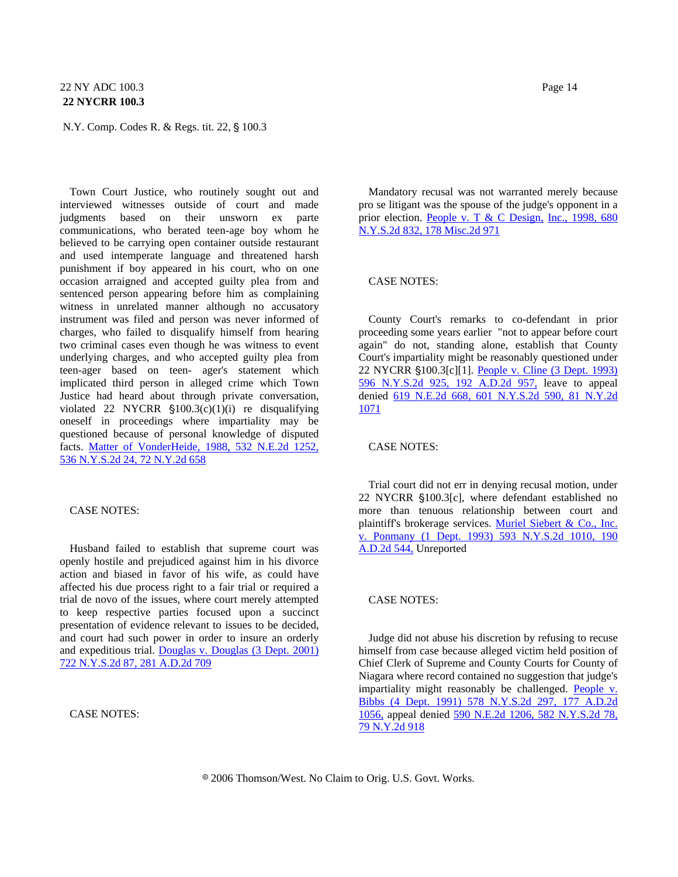Town Court Justice, who routinely sought out and interviewed witnesses outside of court and made judgments based on their unsworn ex parte communications, who berated teen-age boy whom he believed to be carrying open container outside restaurant and used intemperate language and threatened harsh punishment if boy appeared in his court, who on one occasion arraigned and accepted guilty plea from and sentenced person appearing before him as complaining witness in unrelated manner although no accusatory instrument was filed and person was never informed of charges, who failed to disqualify himself from hearing two criminal cases even though he was witness to event underlying charges, and who accepted guilty plea from teen-ager based on teen- ager's statement which implicated third person in alleged crime which Town Justice had heard about through private conversation, violated 22 NYCRR  $$100.3(c)(1)(i)$  re disqualifying oneself in proceedings where impartiality may be questioned because of personal knowledge of disputed facts. Matter of VonderHeide, 1988, 532 N.E.2d 1252, 536 N.Y.S.2d 24, 72 N.Y.2d 658

## CASE NOTES:

Husband failed to establish that supreme court was openly hostile and prejudiced against him in his divorce action and biased in favor of his wife, as could have affected his due process right to a fair trial or required a trial de novo of the issues, where court merely attempted to keep respective parties focused upon a succinct presentation of evidence relevant to issues to be decided, and court had such power in order to insure an orderly and expeditious trial. Douglas v. Douglas (3 Dept. 2001) 722 N.Y.S.2d 87, 281 A.D.2d 709

CASE NOTES:

Mandatory recusal was not warranted merely because pro se litigant was the spouse of the judge's opponent in a prior election. People v. T & C Design, Inc., 1998, 680 N.Y.S.2d 832, 178 Misc.2d 971

## CASE NOTES:

County Court's remarks to co-defendant in prior proceeding some years earlier "not to appear before court again" do not, standing alone, establish that County Court's impartiality might be reasonably questioned under 22 NYCRR §100.3[c][1]. People v. Cline (3 Dept. 1993) 596 N.Y.S.2d 925, 192 A.D.2d 957, leave to appeal denied 619 N.E.2d 668, 601 N.Y.S.2d 590, 81 N.Y.2d 1071

### CASE NOTES:

Trial court did not err in denying recusal motion, under 22 NYCRR §100.3[c], where defendant established no more than tenuous relationship between court and plaintiff's brokerage services. Muriel Siebert & Co., Inc. v. Ponmany (1 Dept. 1993) 593 N.Y.S.2d 1010, 190 A.D.2d 544, Unreported

#### CASE NOTES:

Judge did not abuse his discretion by refusing to recuse himself from case because alleged victim held position of Chief Clerk of Supreme and County Courts for County of Niagara where record contained no suggestion that judge's impartiality might reasonably be challenged. People v. Bibbs (4 Dept. 1991) 578 N.Y.S.2d 297, 177 A.D.2d 1056, appeal denied 590 N.E.2d 1206, 582 N.Y.S.2d 78, 79 N.Y.2d 918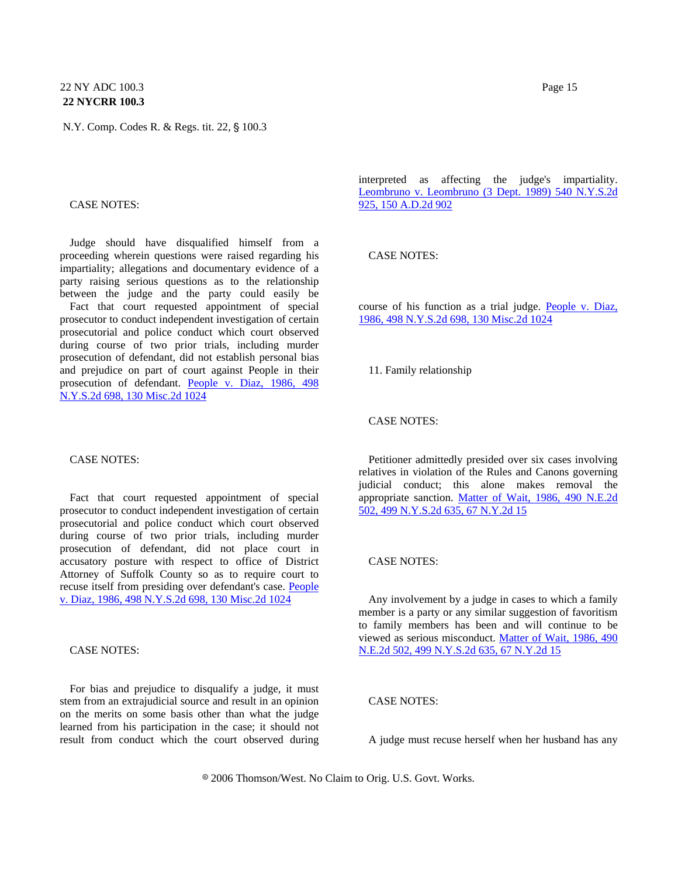#### CASE NOTES:

Judge should have disqualified himself from a proceeding wherein questions were raised regarding his impartiality; allegations and documentary evidence of a party raising serious questions as to the relationship between the judge and the party could easily be

Fact that court requested appointment of special prosecutor to conduct independent investigation of certain prosecutorial and police conduct which court observed during course of two prior trials, including murder prosecution of defendant, did not establish personal bias and prejudice on part of court against People in their prosecution of defendant. People v. Diaz, 1986, 498 N.Y.S.2d 698, 130 Misc.2d 1024

#### CASE NOTES:

Fact that court requested appointment of special prosecutor to conduct independent investigation of certain prosecutorial and police conduct which court observed during course of two prior trials, including murder prosecution of defendant, did not place court in accusatory posture with respect to office of District Attorney of Suffolk County so as to require court to recuse itself from presiding over defendant's case. People v. Diaz, 1986, 498 N.Y.S.2d 698, 130 Misc.2d 1024

### CASE NOTES:

For bias and prejudice to disqualify a judge, it must stem from an extrajudicial source and result in an opinion on the merits on some basis other than what the judge learned from his participation in the case; it should not result from conduct which the court observed during

interpreted as affecting the judge's impartiality. Leombruno v. Leombruno (3 Dept. 1989) 540 N.Y.S.2d 925, 150 A.D.2d 902

CASE NOTES:

course of his function as a trial judge. People v. Diaz, 1986, 498 N.Y.S.2d 698, 130 Misc.2d 1024

11. Family relationship

## CASE NOTES:

Petitioner admittedly presided over six cases involving relatives in violation of the Rules and Canons governing judicial conduct; this alone makes removal the appropriate sanction. Matter of Wait, 1986, 490 N.E.2d 502, 499 N.Y.S.2d 635, 67 N.Y.2d 15

### CASE NOTES:

Any involvement by a judge in cases to which a family member is a party or any similar suggestion of favoritism to family members has been and will continue to be viewed as serious misconduct. Matter of Wait, 1986, 490 N.E.2d 502, 499 N.Y.S.2d 635, 67 N.Y.2d 15

### CASE NOTES:

A judge must recuse herself when her husband has any